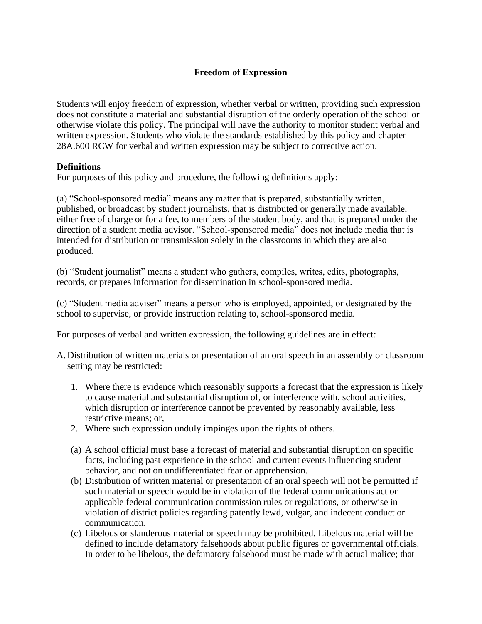# **Freedom of Expression**

Students will enjoy freedom of expression, whether verbal or written, providing such expression does not constitute a material and substantial disruption of the orderly operation of the school or otherwise violate this policy. The principal will have the authority to monitor student verbal and written expression. Students who violate the standards established by this policy and chapter 28A.600 RCW for verbal and written expression may be subject to corrective action.

#### **Definitions**

For purposes of this policy and procedure, the following definitions apply:

(a) "School-sponsored media" means any matter that is prepared, substantially written, published, or broadcast by student journalists, that is distributed or generally made available, either free of charge or for a fee, to members of the student body, and that is prepared under the direction of a student media advisor. "School-sponsored media" does not include media that is intended for distribution or transmission solely in the classrooms in which they are also produced.

(b) "Student journalist" means a student who gathers, compiles, writes, edits, photographs, records, or prepares information for dissemination in school-sponsored media.

(c) "Student media adviser" means a person who is employed, appointed, or designated by the school to supervise, or provide instruction relating to, school-sponsored media.

For purposes of verbal and written expression, the following guidelines are in effect:

- A. Distribution of written materials or presentation of an oral speech in an assembly or classroom setting may be restricted:
	- 1. Where there is evidence which reasonably supports a forecast that the expression is likely to cause material and substantial disruption of, or interference with, school activities, which disruption or interference cannot be prevented by reasonably available, less restrictive means; or,
	- 2. Where such expression unduly impinges upon the rights of others.
	- (a) A school official must base a forecast of material and substantial disruption on specific facts, including past experience in the school and current events influencing student behavior, and not on undifferentiated fear or apprehension.
	- (b) Distribution of written material or presentation of an oral speech will not be permitted if such material or speech would be in violation of the federal communications act or applicable federal communication commission rules or regulations, or otherwise in violation of district policies regarding patently lewd, vulgar, and indecent conduct or communication.
	- (c) Libelous or slanderous material or speech may be prohibited. Libelous material will be defined to include defamatory falsehoods about public figures or governmental officials. In order to be libelous, the defamatory falsehood must be made with actual malice; that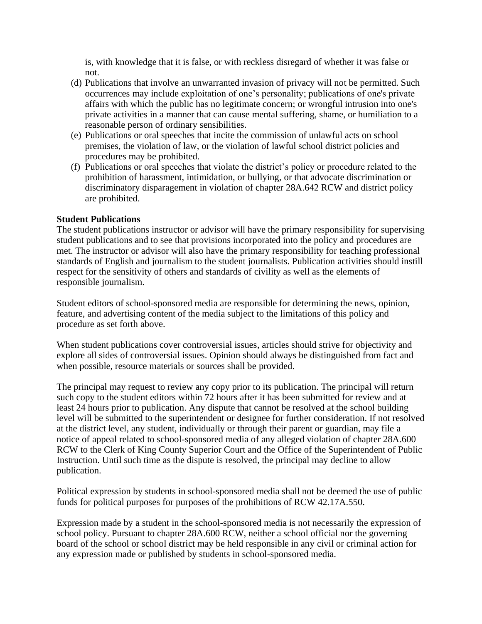is, with knowledge that it is false, or with reckless disregard of whether it was false or not.

- (d) Publications that involve an unwarranted invasion of privacy will not be permitted. Such occurrences may include exploitation of one's personality; publications of one's private affairs with which the public has no legitimate concern; or wrongful intrusion into one's private activities in a manner that can cause mental suffering, shame, or humiliation to a reasonable person of ordinary sensibilities.
- (e) Publications or oral speeches that incite the commission of unlawful acts on school premises, the violation of law, or the violation of lawful school district policies and procedures may be prohibited.
- (f) Publications or oral speeches that violate the district's policy or procedure related to the prohibition of harassment, intimidation, or bullying, or that advocate discrimination or discriminatory disparagement in violation of chapter 28A.642 RCW and district policy are prohibited.

## **Student Publications**

The student publications instructor or advisor will have the primary responsibility for supervising student publications and to see that provisions incorporated into the policy and procedures are met. The instructor or advisor will also have the primary responsibility for teaching professional standards of English and journalism to the student journalists. Publication activities should instill respect for the sensitivity of others and standards of civility as well as the elements of responsible journalism.

Student editors of school-sponsored media are responsible for determining the news, opinion, feature, and advertising content of the media subject to the limitations of this policy and procedure as set forth above.

When student publications cover controversial issues, articles should strive for objectivity and explore all sides of controversial issues. Opinion should always be distinguished from fact and when possible, resource materials or sources shall be provided.

The principal may request to review any copy prior to its publication. The principal will return such copy to the student editors within 72 hours after it has been submitted for review and at least 24 hours prior to publication. Any dispute that cannot be resolved at the school building level will be submitted to the superintendent or designee for further consideration. If not resolved at the district level, any student, individually or through their parent or guardian, may file a notice of appeal related to school-sponsored media of any alleged violation of chapter 28A.600 RCW to the Clerk of King County Superior Court and the Office of the Superintendent of Public Instruction. Until such time as the dispute is resolved, the principal may decline to allow publication.

Political expression by students in school-sponsored media shall not be deemed the use of public funds for political purposes for purposes of the prohibitions of RCW 42.17A.550.

Expression made by a student in the school-sponsored media is not necessarily the expression of school policy. Pursuant to chapter 28A.600 RCW, neither a school official nor the governing board of the school or school district may be held responsible in any civil or criminal action for any expression made or published by students in school-sponsored media.